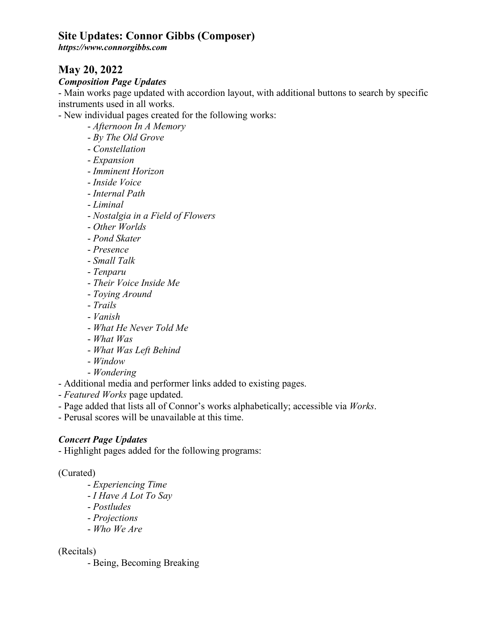*https://www.connorgibbs.com*

## **May 20, 2022**

#### *Composition Page Updates*

- Main works page updated with accordion layout, with additional buttons to search by specific instruments used in all works.

- New individual pages created for the following works:

- *Afternoon In A Memory*
- *By The Old Grove*
- *Constellation*
- *Expansion*
- *Imminent Horizon*
- *Inside Voice*
- *Internal Path*
- *Liminal*
- *Nostalgia in a Field of Flowers*
- *Other Worlds*
- *Pond Skater*
- *Presence*
- *Small Talk*
- *Tenparu*
- *Their Voice Inside Me*
- *Toying Around*
- *Trails*
- *Vanish*
- *What He Never Told Me*
- *What Was*
- *What Was Left Behind*
- *Window*
- *Wondering*
- Additional media and performer links added to existing pages.
- *Featured Works* page updated.
- Page added that lists all of Connor's works alphabetically; accessible via *Works*.
- Perusal scores will be unavailable at this time.

#### *Concert Page Updates*

- Highlight pages added for the following programs:

#### (Curated)

- *Experiencing Time*
- *I Have A Lot To Say*
- *Postludes*
- *Projections*
- *Who We Are*

#### (Recitals)

- Being, Becoming Breaking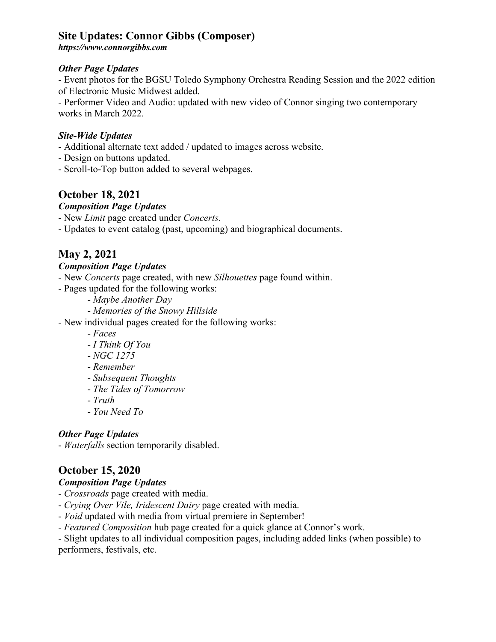*https://www.connorgibbs.com*

### *Other Page Updates*

- Event photos for the BGSU Toledo Symphony Orchestra Reading Session and the 2022 edition of Electronic Music Midwest added.

- Performer Video and Audio: updated with new video of Connor singing two contemporary works in March 2022.

### *Site-Wide Updates*

- Additional alternate text added / updated to images across website.
- Design on buttons updated.
- Scroll-to-Top button added to several webpages.

## **October 18, 2021**

### *Composition Page Updates*

- New *Limit* page created under *Concerts*.

- Updates to event catalog (past, upcoming) and biographical documents.

# **May 2, 2021**

### *Composition Page Updates*

- New *Concerts* page created, with new *Silhouettes* page found within.
- Pages updated for the following works:
	- *Maybe Another Day*
	- *Memories of the Snowy Hillside*
- New individual pages created for the following works:
	- *Faces*
	- *I Think Of You*
	- *NGC 1275*
	- *Remember*
	- *Subsequent Thoughts*
	- *The Tides of Tomorrow*
	- *Truth*
	- *You Need To*

## *Other Page Updates*

- *Waterfalls* section temporarily disabled.

# **October 15, 2020**

## *Composition Page Updates*

- *Crossroads* page created with media.
- *Crying Over Vile, Iridescent Dairy* page created with media.
- *Void* updated with media from virtual premiere in September!
- *Featured Composition* hub page created for a quick glance at Connor's work.

- Slight updates to all individual composition pages, including added links (when possible) to performers, festivals, etc.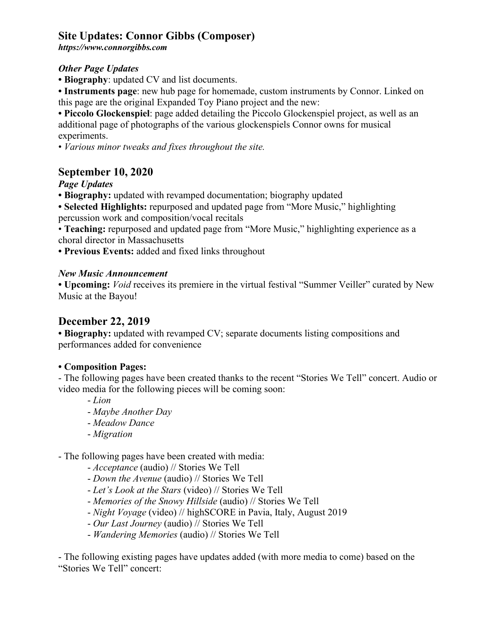*https://www.connorgibbs.com*

### *Other Page Updates*

**• Biography**: updated CV and list documents.

**• Instruments page**: new hub page for homemade, custom instruments by Connor. Linked on this page are the original Expanded Toy Piano project and the new:

**• Piccolo Glockenspiel**: page added detailing the Piccolo Glockenspiel project, as well as an additional page of photographs of the various glockenspiels Connor owns for musical experiments.

• *Various minor tweaks and fixes throughout the site.*

## **September 10, 2020**

## *Page Updates*

**• Biography:** updated with revamped documentation; biography updated

**• Selected Highlights:** repurposed and updated page from "More Music," highlighting percussion work and composition/vocal recitals

• **Teaching:** repurposed and updated page from "More Music," highlighting experience as a choral director in Massachusetts

**• Previous Events:** added and fixed links throughout

### *New Music Announcement*

**• Upcoming:** *Void* receives its premiere in the virtual festival "Summer Veiller" curated by New Music at the Bayou!

## **December 22, 2019**

**• Biography:** updated with revamped CV; separate documents listing compositions and performances added for convenience

## **• Composition Pages:**

- The following pages have been created thanks to the recent "Stories We Tell" concert. Audio or video media for the following pieces will be coming soon:

- *Lion*
- *Maybe Another Day*
- *Meadow Dance*
- *Migration*

- The following pages have been created with media:

- *Acceptance* (audio) // Stories We Tell
- *Down the Avenue* (audio) // Stories We Tell
- *Let's Look at the Stars* (video) // Stories We Tell
- *Memories of the Snowy Hillside* (audio) // Stories We Tell
- *Night Voyage* (video) // highSCORE in Pavia, Italy, August 2019
- *Our Last Journey* (audio) // Stories We Tell
- *Wandering Memories* (audio) // Stories We Tell

- The following existing pages have updates added (with more media to come) based on the "Stories We Tell" concert: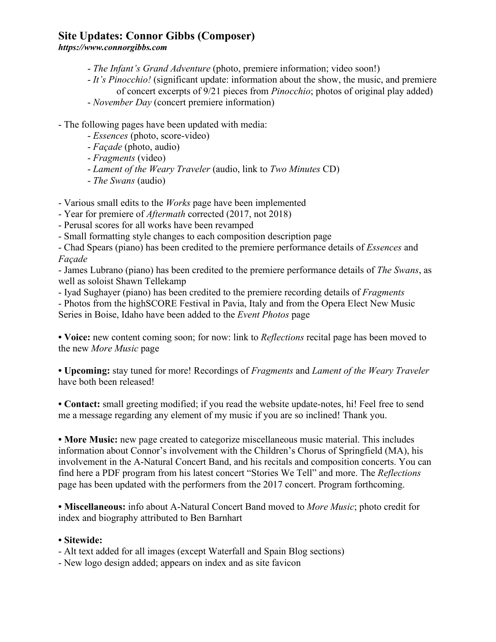*https://www.connorgibbs.com*

- *The Infant's Grand Adventure* (photo, premiere information; video soon!)
- *It's Pinocchio!* (significant update: information about the show, the music, and premiere of concert excerpts of 9/21 pieces from *Pinocchio*; photos of original play added)
- *November Day* (concert premiere information)

- The following pages have been updated with media:

- *Essences* (photo, score-video)
- *Façade* (photo, audio)
- *Fragments* (video)
- *Lament of the Weary Traveler* (audio, link to *Two Minutes* CD)
- *The Swans* (audio)

- Various small edits to the *Works* page have been implemented

- Year for premiere of *Aftermath* corrected (2017, not 2018)
- Perusal scores for all works have been revamped
- Small formatting style changes to each composition description page

- Chad Spears (piano) has been credited to the premiere performance details of *Essences* and *Façade*

- James Lubrano (piano) has been credited to the premiere performance details of *The Swans*, as well as soloist Shawn Tellekamp

- Iyad Sughayer (piano) has been credited to the premiere recording details of *Fragments*

- Photos from the highSCORE Festival in Pavia, Italy and from the Opera Elect New Music Series in Boise, Idaho have been added to the *Event Photos* page

**• Voice:** new content coming soon; for now: link to *Reflections* recital page has been moved to the new *More Music* page

**• Upcoming:** stay tuned for more! Recordings of *Fragments* and *Lament of the Weary Traveler* have both been released!

**• Contact:** small greeting modified; if you read the website update-notes, hi! Feel free to send me a message regarding any element of my music if you are so inclined! Thank you.

**• More Music:** new page created to categorize miscellaneous music material. This includes information about Connor's involvement with the Children's Chorus of Springfield (MA), his involvement in the A-Natural Concert Band, and his recitals and composition concerts. You can find here a PDF program from his latest concert "Stories We Tell" and more. The *Reflections* page has been updated with the performers from the 2017 concert. Program forthcoming.

**• Miscellaneous:** info about A-Natural Concert Band moved to *More Music*; photo credit for index and biography attributed to Ben Barnhart

#### **• Sitewide:**

- Alt text added for all images (except Waterfall and Spain Blog sections)

- New logo design added; appears on index and as site favicon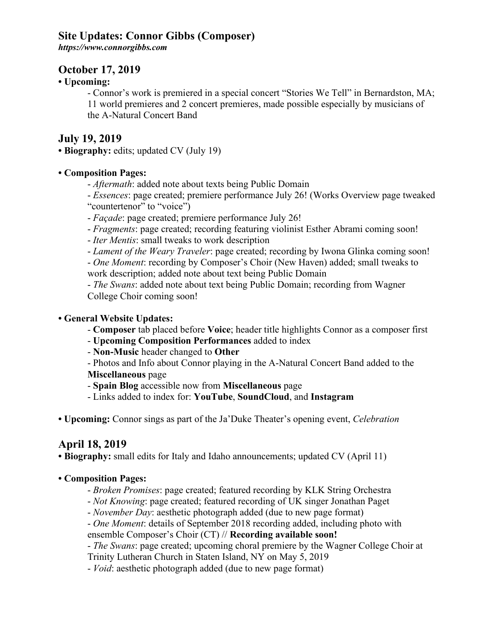*https://www.connorgibbs.com*

## **October 17, 2019**

### **• Upcoming:**

- Connor's work is premiered in a special concert "Stories We Tell" in Bernardston, MA; 11 world premieres and 2 concert premieres, made possible especially by musicians of the A-Natural Concert Band

## **July 19, 2019**

**• Biography:** edits; updated CV (July 19)

### **• Composition Pages:**

- *Aftermath*: added note about texts being Public Domain

- *Essences*: page created; premiere performance July 26! (Works Overview page tweaked "countertenor" to "voice")

- *Façade*: page created; premiere performance July 26!
- *Fragments*: page created; recording featuring violinist Esther Abrami coming soon!
- *Iter Mentis*: small tweaks to work description
- *Lament of the Weary Traveler*: page created; recording by Iwona Glinka coming soon!

- *One Moment*: recording by Composer's Choir (New Haven) added; small tweaks to work description; added note about text being Public Domain

- *The Swans*: added note about text being Public Domain; recording from Wagner College Choir coming soon!

### **• General Website Updates:**

- **Composer** tab placed before **Voice**; header title highlights Connor as a composer first
- **Upcoming Composition Performances** added to index
- **Non-Music** header changed to **Other**
- Photos and Info about Connor playing in the A-Natural Concert Band added to the

**Miscellaneous** page

- **Spain Blog** accessible now from **Miscellaneous** page

- Links added to index for: **YouTube**, **SoundCloud**, and **Instagram**

**• Upcoming:** Connor sings as part of the Ja'Duke Theater's opening event, *Celebration*

## **April 18, 2019**

**• Biography:** small edits for Italy and Idaho announcements; updated CV (April 11)

## **• Composition Pages:**

- *Broken Promises*: page created; featured recording by KLK String Orchestra
- *Not Knowing*: page created; featured recording of UK singer Jonathan Paget
- *November Day*: aesthetic photograph added (due to new page format)
- *One Moment*: details of September 2018 recording added, including photo with

ensemble Composer's Choir (CT) // **Recording available soon!**

- *The Swans*: page created; upcoming choral premiere by the Wagner College Choir at Trinity Lutheran Church in Staten Island, NY on May 5, 2019

- *Void*: aesthetic photograph added (due to new page format)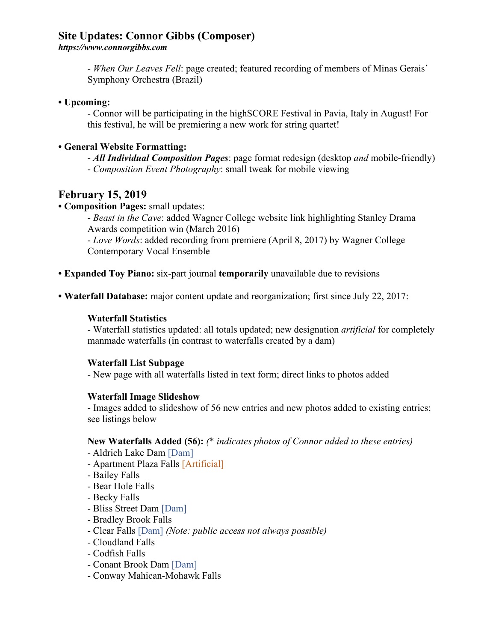*https://www.connorgibbs.com*

- *When Our Leaves Fell*: page created; featured recording of members of Minas Gerais' Symphony Orchestra (Brazil)

**• Upcoming:**

- Connor will be participating in the highSCORE Festival in Pavia, Italy in August! For this festival, he will be premiering a new work for string quartet!

### **• General Website Formatting:**

- *All Individual Composition Pages*: page format redesign (desktop *and* mobile-friendly) - *Composition Event Photography*: small tweak for mobile viewing

## **February 15, 2019**

### **• Composition Pages:** small updates:

- *Beast in the Cave*: added Wagner College website link highlighting Stanley Drama Awards competition win (March 2016)

- *Love Words*: added recording from premiere (April 8, 2017) by Wagner College Contemporary Vocal Ensemble

**• Expanded Toy Piano:** six-part journal **temporarily** unavailable due to revisions

**• Waterfall Database:** major content update and reorganization; first since July 22, 2017:

### **Waterfall Statistics**

- Waterfall statistics updated: all totals updated; new designation *artificial* for completely manmade waterfalls (in contrast to waterfalls created by a dam)

#### **Waterfall List Subpage**

- New page with all waterfalls listed in text form; direct links to photos added

#### **Waterfall Image Slideshow**

- Images added to slideshow of 56 new entries and new photos added to existing entries; see listings below

#### **New Waterfalls Added (56):** *(*\* *indicates photos of Connor added to these entries)*

- Aldrich Lake Dam [Dam]
- Apartment Plaza Falls [Artificial]
- Bailey Falls
- Bear Hole Falls
- Becky Falls
- Bliss Street Dam [Dam]
- Bradley Brook Falls
- Clear Falls [Dam] *(Note: public access not always possible)*
- Cloudland Falls
- Codfish Falls
- Conant Brook Dam [Dam]
- Conway Mahican-Mohawk Falls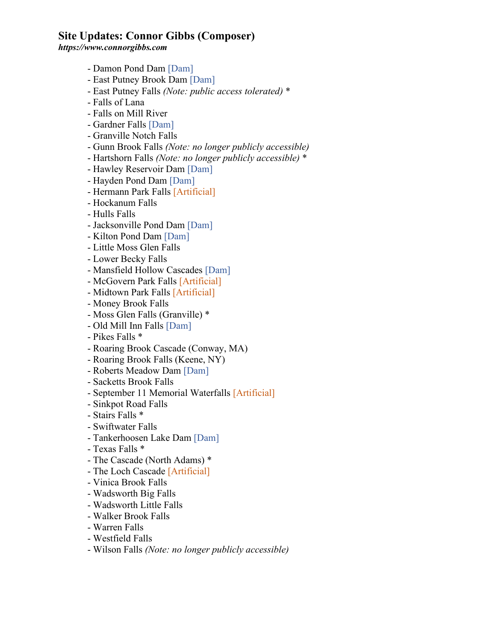*https://www.connorgibbs.com*

- Damon Pond Dam [Dam]
- East Putney Brook Dam [Dam]
- East Putney Falls *(Note: public access tolerated)* \*
- Falls of Lana
- Falls on Mill River
- Gardner Falls [Dam]
- Granville Notch Falls
- Gunn Brook Falls *(Note: no longer publicly accessible)*
- Hartshorn Falls *(Note: no longer publicly accessible)* \*
- Hawley Reservoir Dam [Dam]
- Hayden Pond Dam [Dam]
- Hermann Park Falls [Artificial]
- Hockanum Falls
- Hulls Falls
- Jacksonville Pond Dam [Dam]
- Kilton Pond Dam [Dam]
- Little Moss Glen Falls
- Lower Becky Falls
- Mansfield Hollow Cascades [Dam]
- McGovern Park Falls [Artificial]
- Midtown Park Falls [Artificial]
- Money Brook Falls
- Moss Glen Falls (Granville) \*
- Old Mill Inn Falls [Dam]
- Pikes Falls \*
- Roaring Brook Cascade (Conway, MA)
- Roaring Brook Falls (Keene, NY)
- Roberts Meadow Dam [Dam]
- Sacketts Brook Falls
- September 11 Memorial Waterfalls [Artificial]
- Sinkpot Road Falls
- Stairs Falls \*
- Swiftwater Falls
- Tankerhoosen Lake Dam [Dam]
- Texas Falls \*
- The Cascade (North Adams) \*
- The Loch Cascade [Artificial]
- Vinica Brook Falls
- Wadsworth Big Falls
- Wadsworth Little Falls
- Walker Brook Falls
- Warren Falls
- Westfield Falls
- Wilson Falls *(Note: no longer publicly accessible)*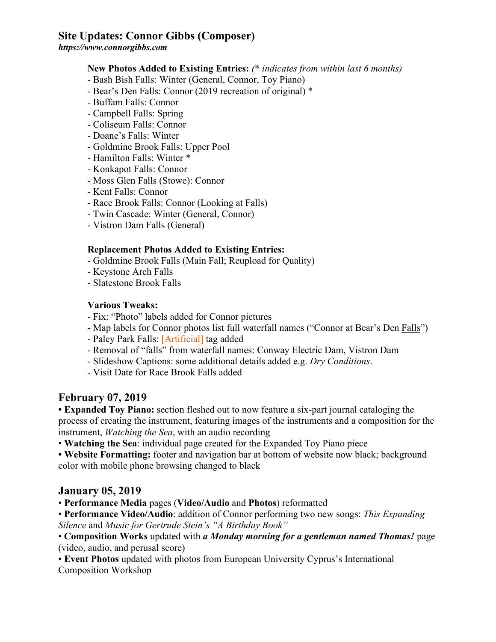*https://www.connorgibbs.com*

#### **New Photos Added to Existing Entries:** *(*\* *indicates from within last 6 months)*

- Bash Bish Falls: Winter (General, Connor, Toy Piano)
- Bear's Den Falls: Connor (2019 recreation of original) \*
- Buffam Falls: Connor
- Campbell Falls: Spring
- Coliseum Falls: Connor
- Doane's Falls: Winter
- Goldmine Brook Falls: Upper Pool
- Hamilton Falls: Winter \*
- Konkapot Falls: Connor
- Moss Glen Falls (Stowe): Connor
- Kent Falls: Connor
- Race Brook Falls: Connor (Looking at Falls)
- Twin Cascade: Winter (General, Connor)
- Vistron Dam Falls (General)

#### **Replacement Photos Added to Existing Entries:**

- Goldmine Brook Falls (Main Fall; Reupload for Quality)
- Keystone Arch Falls
- Slatestone Brook Falls

#### **Various Tweaks:**

- Fix: "Photo" labels added for Connor pictures
- Map labels for Connor photos list full waterfall names ("Connor at Bear's Den Falls")
- Paley Park Falls: [Artificial] tag added
- Removal of "falls" from waterfall names: Conway Electric Dam, Vistron Dam
- Slideshow Captions: some additional details added e.g. *Dry Conditions*.
- Visit Date for Race Brook Falls added

## **February 07, 2019**

**• Expanded Toy Piano:** section fleshed out to now feature a six-part journal cataloging the process of creating the instrument, featuring images of the instruments and a composition for the instrument, *Watching the Sea*, with an audio recording

• **Watching the Sea**: individual page created for the Expanded Toy Piano piece

• Website Formatting: footer and navigation bar at bottom of website now black; background color with mobile phone browsing changed to black

#### **January 05, 2019**

• **Performance Media** pages (**Video/Audio** and **Photos**) reformatted

• **Performance Video/Audio**: addition of Connor performing two new songs: *This Expanding Silence* and *Music for Gertrude Stein's "A Birthday Book"*

• **Composition Works** updated with *a Monday morning for a gentleman named Thomas!* page (video, audio, and perusal score)

• **Event Photos** updated with photos from European University Cyprus's International Composition Workshop